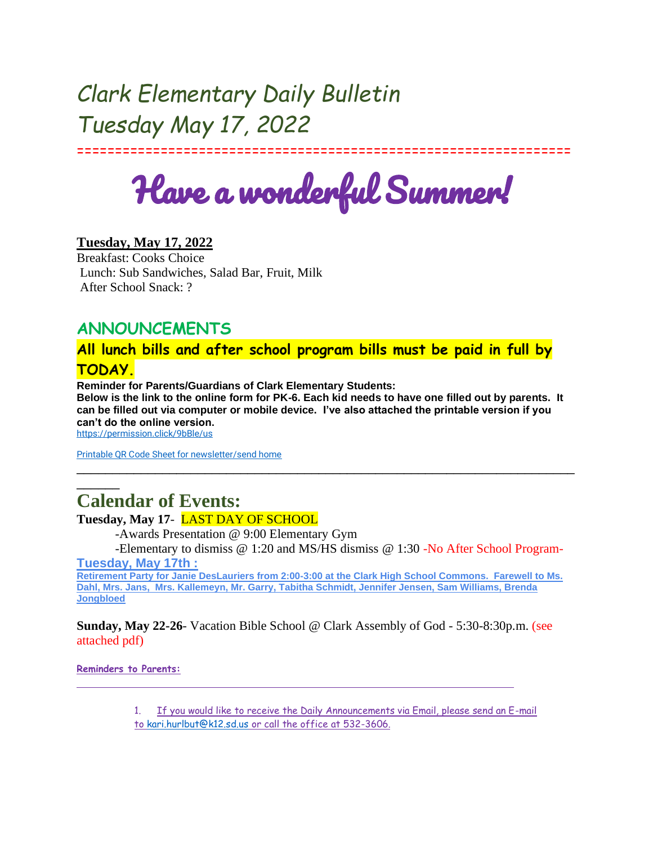# *Clark Elementary Daily Bulletin Tuesday May 17, 2022*

=================================================================

Have a wonderful Summer!

### **Tuesday, May 17, 2022**

Breakfast: Cooks Choice Lunch: Sub Sandwiches, Salad Bar, Fruit, Milk After School Snack: ?

## **ANNOUNCEMENTS**

## **All lunch bills and after school program bills must be paid in full by TODAY.**

**Reminder for Parents/Guardians of Clark Elementary Students:**

**Below is the link to the online form for PK-6. Each kid needs to have one filled out by parents. It can be filled out via computer or mobile device. I've also attached the printable version if you can't do the online version.**

\_\_\_\_\_\_\_\_\_\_\_\_\_\_\_\_\_\_\_\_\_\_\_\_\_\_\_\_\_\_\_\_\_\_\_\_\_\_\_\_\_\_\_\_\_\_\_\_\_\_\_\_\_\_\_\_\_\_\_\_\_\_\_\_\_\_\_\_\_\_

<https://permission.click/9bBle/us>

\_\_\_\_\_\_

[Printable QR Code Sheet for newsletter/send home](https://docs.google.com/document/d/1NkmNjmK5665VUkC3JY04Txj7CJLugUgD8mbZFumHD1w/edit?usp=sharing)

## **Calendar of Events:**

#### **Tuesday, May 17**- LAST DAY OF SCHOOL

-Awards Presentation @ 9:00 Elementary Gym

-Elementary to dismiss @ 1:20 and MS/HS dismiss @ 1:30 -No After School Program-**Tuesday, May 17th :**

**Retirement Party for Janie DesLauriers from 2:00-3:00 at the Clark High School Commons. Farewell to Ms. Dahl, Mrs. Jans, Mrs. Kallemeyn, Mr. Garry, Tabitha Schmidt, Jennifer Jensen, Sam Williams, Brenda Jongbloed**

**Sunday, May 22-26**- Vacation Bible School @ Clark Assembly of God - 5:30-8:30p.m. (see attached pdf)

**Reminders to Parents:**

1. If you would like to receive the Daily Announcements via Email, please send an E-mail to [kari.hurlbut@k12.sd.us](mailto:kari.hurlbut@k12.sd.us) or call the office at 532-3606.